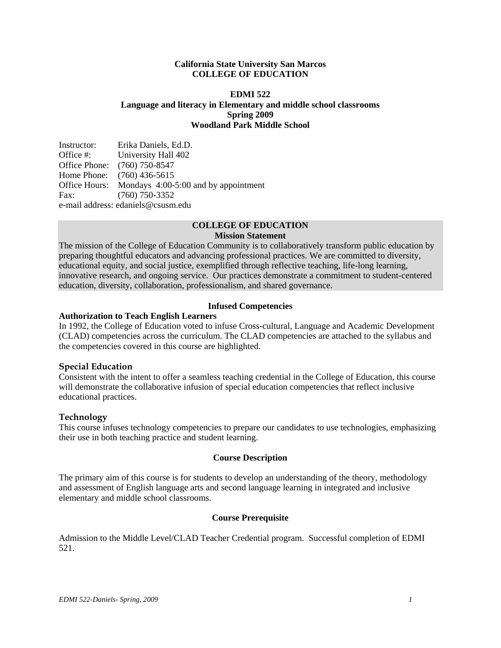## **California State University San Marcos COLLEGE OF EDUCATION**

## **EDMI 522 Language and literacy in Elementary and middle school classrooms Spring 2009 Woodland Park Middle School**

| Instructor:                        | Erika Daniels, Ed.D.                               |  |
|------------------------------------|----------------------------------------------------|--|
| Office #:                          | <b>University Hall 402</b>                         |  |
|                                    | Office Phone: (760) 750-8547                       |  |
|                                    | Home Phone: (760) 436-5615                         |  |
|                                    | Office Hours: Mondays 4:00-5:00 and by appointment |  |
| Fax:                               | $(760)$ 750-3352                                   |  |
| e-mail address: edaniels@csusm.edu |                                                    |  |

# **COLLEGE OF EDUCATION**

#### **Mission Statement**

The mission of the College of Education Community is to collaboratively transform public education by preparing thoughtful educators and advancing professional practices. We are committed to diversity, educational equity, and social justice, exemplified through reflective teaching, life-long learning, innovative research, and ongoing service. Our practices demonstrate a commitment to student-centered education, diversity, collaboration, professionalism, and shared governance.

# **Infused Competencies**

# **Authorization to Teach English Learners**

In 1992, the College of Education voted to infuse Cross-cultural, Language and Academic Development (CLAD) competencies across the curriculum. The CLAD competencies are attached to the syllabus and the competencies covered in this course are highlighted.

## **Special Education**

Consistent with the intent to offer a seamless teaching credential in the College of Education, this course will demonstrate the collaborative infusion of special education competencies that reflect inclusive educational practices.

## **Technology**

This course infuses technology competencies to prepare our candidates to use technologies, emphasizing their use in both teaching practice and student learning.

#### **Course Description**

The primary aim of this course is for students to develop an understanding of the theory, methodology and assessment of English language arts and second language learning in integrated and inclusive elementary and middle school classrooms.

## **Course Prerequisite**

Admission to the Middle Level/CLAD Teacher Credential program. Successful completion of EDMI 521.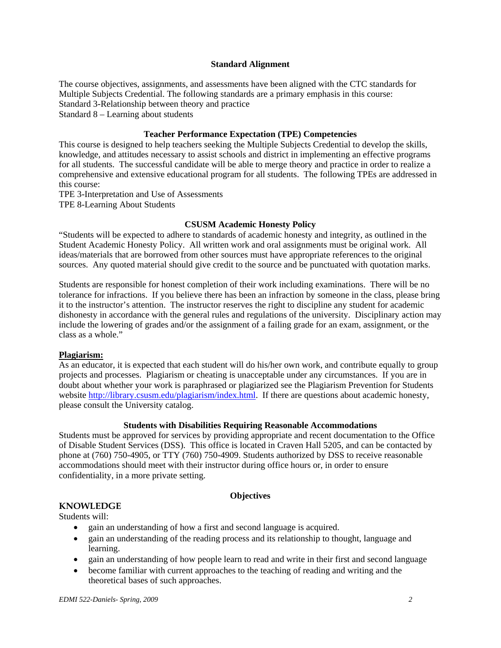## **Standard Alignment**

The course objectives, assignments, and assessments have been aligned with the CTC standards for Multiple Subjects Credential. The following standards are a primary emphasis in this course: Standard 3-Relationship between theory and practice Standard 8 – Learning about students

## **Teacher Performance Expectation (TPE) Competencies**

This course is designed to help teachers seeking the Multiple Subjects Credential to develop the skills, knowledge, and attitudes necessary to assist schools and district in implementing an effective programs for all students. The successful candidate will be able to merge theory and practice in order to realize a comprehensive and extensive educational program for all students. The following TPEs are addressed in this course:

TPE 3-Interpretation and Use of Assessments

TPE 8-Learning About Students

## **CSUSM Academic Honesty Policy**

"Students will be expected to adhere to standards of academic honesty and integrity, as outlined in the Student Academic Honesty Policy. All written work and oral assignments must be original work. All ideas/materials that are borrowed from other sources must have appropriate references to the original sources. Any quoted material should give credit to the source and be punctuated with quotation marks.

Students are responsible for honest completion of their work including examinations. There will be no tolerance for infractions. If you believe there has been an infraction by someone in the class, please bring it to the instructor's attention. The instructor reserves the right to discipline any student for academic dishonesty in accordance with the general rules and regulations of the university. Disciplinary action may include the lowering of grades and/or the assignment of a failing grade for an exam, assignment, or the class as a whole."

## **Plagiarism:**

As an educator, it is expected that each student will do his/her own work, and contribute equally to group projects and processes. Plagiarism or cheating is unacceptable under any circumstances. If you are in doubt about whether your work is paraphrased or plagiarized see the Plagiarism Prevention for Students website http://library.csusm.edu/plagiarism/index.html. If there are questions about academic honesty, please consult the University catalog.

# **Students with Disabilities Requiring Reasonable Accommodations**

Students must be approved for services by providing appropriate and recent documentation to the Office of Disable Student Services (DSS). This office is located in Craven Hall 5205, and can be contacted by phone at (760) 750-4905, or TTY (760) 750-4909. Students authorized by DSS to receive reasonable accommodations should meet with their instructor during office hours or, in order to ensure confidentiality, in a more private setting.

# **Objectives**

# **KNOWLEDGE**

Students will:

- gain an understanding of how a first and second language is acquired.
- gain an understanding of the reading process and its relationship to thought, language and learning.
- gain an understanding of how people learn to read and write in their first and second language
- become familiar with current approaches to the teaching of reading and writing and the theoretical bases of such approaches.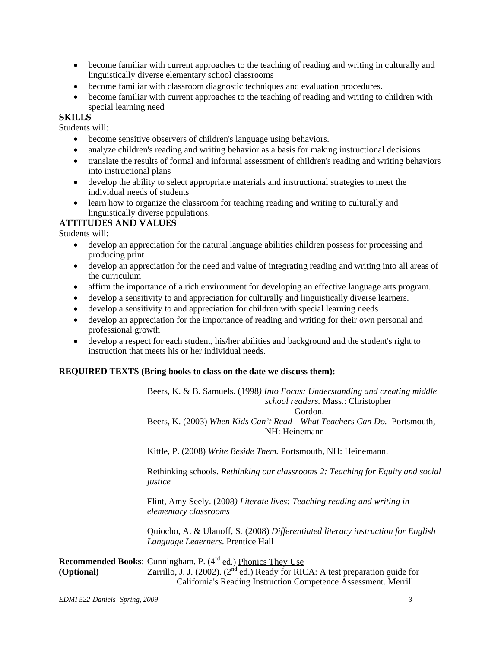- become familiar with current approaches to the teaching of reading and writing in culturally and linguistically diverse elementary school classrooms
- become familiar with classroom diagnostic techniques and evaluation procedures.
- become familiar with current approaches to the teaching of reading and writing to children with special learning need

# **SKILLS**

Students will:

- become sensitive observers of children's language using behaviors.
- analyze children's reading and writing behavior as a basis for making instructional decisions
- translate the results of formal and informal assessment of children's reading and writing behaviors into instructional plans
- develop the ability to select appropriate materials and instructional strategies to meet the individual needs of students
- learn how to organize the classroom for teaching reading and writing to culturally and linguistically diverse populations.

# **ATTITUDES AND VALUES**

Students will:

- develop an appreciation for the natural language abilities children possess for processing and producing print
- develop an appreciation for the need and value of integrating reading and writing into all areas of the curriculum
- affirm the importance of a rich environment for developing an effective language arts program.
- develop a sensitivity to and appreciation for culturally and linguistically diverse learners.
- develop a sensitivity to and appreciation for children with special learning needs
- develop an appreciation for the importance of reading and writing for their own personal and professional growth
- develop a respect for each student, his/her abilities and background and the student's right to instruction that meets his or her individual needs.

## **REQUIRED TEXTS (Bring books to class on the date we discuss them):**

Beers, K. & B. Samuels. (1998*) Into Focus: Understanding and creating middle school readers.* Mass.: Christopher Gordon.

Beers, K. (2003) *When Kids Can't Read—What Teachers Can Do.* Portsmouth, NH: Heinemann

Kittle, P. (2008) *Write Beside Them.* Portsmouth, NH: Heinemann.

Rethinking schools. *Rethinking our classrooms 2: Teaching for Equity and social justice* 

Flint, Amy Seely. (2008*) Literate lives: Teaching reading and writing in elementary classrooms* 

Quiocho, A. & Ulanoff, S*.* (2008) *Differentiated literacy instruction for English Language Leaerners*. Prentice Hall

**Recommended Books:** Cunningham, P. (4<sup>rd</sup> ed.) Phonics They Use **(Optional)** Zarrillo, J. J. (2002). (2<sup>nd</sup> ed.) Ready for RICA: A test preparation guide for California's Reading Instruction Competence Assessment. Merrill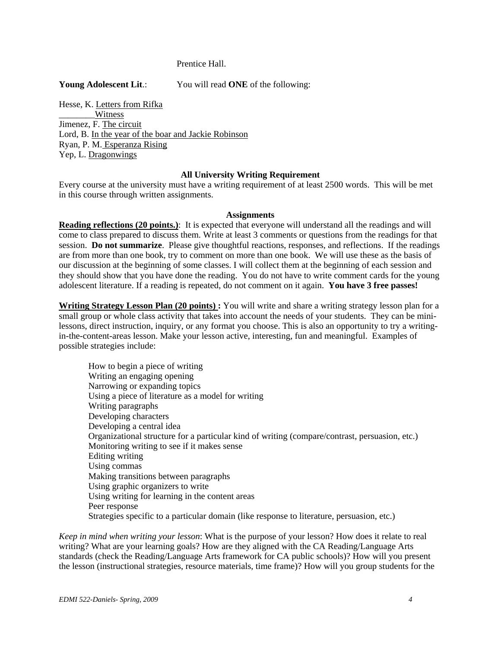## Prentice Hall.

**Young Adolescent Lit**.: You will read **ONE** of the following:

Hesse, K. Letters from Rifka Witness Jimenez, F. The circuit l. Ryan, P. M. Esperanza Rising Yep, L. Dragonwings Hesse, K. <u>Letters from Rifka</u><br>
<del>\_\_\_\_\_\_Witness</del><br>
Jimenez, F. <u>The circuit</u><br>
Lord, B. <u>In the year of the boar and Jackie Robinson</u><br>
Ryan, P. M. <u>Esperanza Rising</u><br>
Yep, L. <u>Dragonwings</u>

#### **All University Writing Requirement**

Every course at the university must have a writing requirement of at least 2500 words. This will be met in this course through written assignments.

#### **Assignments**

**Reading reflections (20 points.)**: It is expected that everyone will understand all the readings and will come to class prepared to discuss them. Write at least 3 comments or questions from the readings for that session. **Do not summarize**. Please give thoughtful reactions, responses, and reflections. If the readings are from more than one book, try to comment on more than one book. We will use these as the basis of our discussion at the beginning of some classes. I will collect them at the beginning of each session and they should show that you have done the reading. You do not have to write comment cards for the young adolescent literature. If a reading is repeated, do not comment on it again. **You have 3 free passes!** 

**Writing Strategy Lesson Plan (20 points) :** You will write and share a writing strategy lesson plan for a small group or whole class activity that takes into account the needs of your students. They can be minilessons, direct instruction, inquiry, or any format you choose. This is also an opportunity to try a writingin-the-content-areas lesson. Make your lesson active, interesting, fun and meaningful. Examples of possible strategies include:

How to begin a piece of writing Writing an engaging opening Narrowing or expanding topics Using a piece of literature as a model for writing Writing paragraphs Developing characters Developing a central idea Organizational structure for a particular kind of writing (compare/contrast, persuasion, etc.) Monitoring writing to see if it makes sense Editing writing Using commas Making transitions between paragraphs Using graphic organizers to write Using writing for learning in the content areas Peer response Strategies specific to a particular domain (like response to literature, persuasion, etc.)

*Keep in mind when writing your lesson*: What is the purpose of your lesson? How does it relate to real writing? What are your learning goals? How are they aligned with the CA Reading/Language Arts standards (check the Reading/Language Arts framework for CA public schools)? How will you present the lesson (instructional strategies, resource materials, time frame)? How will you group students for the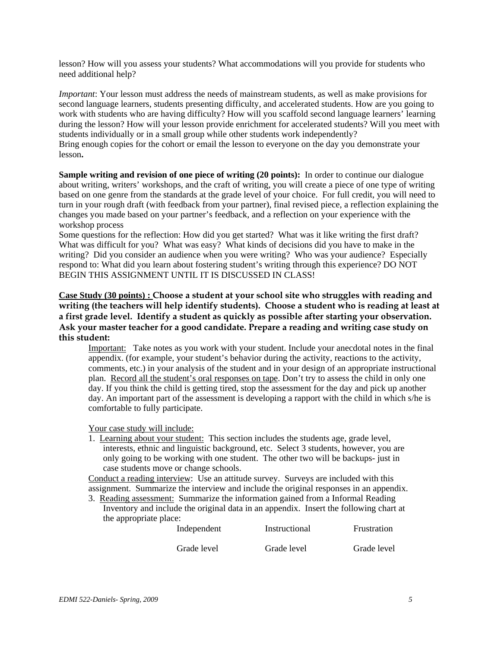lesson? How will you assess your students? What accommodations will you provide for students who need additional help?

*Important*: Your lesson must address the needs of mainstream students, as well as make provisions for second language learners, students presenting difficulty, and accelerated students. How are you going to work with students who are having difficulty? How will you scaffold second language learners' learning during the lesson? How will your lesson provide enrichment for accelerated students? Will you meet with students individually or in a small group while other students work independently? Bring enough copies for the cohort or email the lesson to everyone on the day you demonstrate your lesson**.** 

**Sample writing and revision of one piece of writing (20 points):** In order to continue our dialogue about writing, writers' workshops, and the craft of writing, you will create a piece of one type of writing based on one genre from the standards at the grade level of your choice. For full credit, you will need to turn in your rough draft (with feedback from your partner), final revised piece, a reflection explaining the changes you made based on your partner's feedback, and a reflection on your experience with the workshop process

Some questions for the reflection: How did you get started? What was it like writing the first draft? What was difficult for you? What was easy? What kinds of decisions did you have to make in the writing? Did you consider an audience when you were writing? Who was your audience? Especially respond to: What did you learn about fostering student's writing through this experience? DO NOT BEGIN THIS ASSIGNMENT UNTIL IT IS DISCUSSED IN CLASS!

**Case Study (30 points) : Choose a student at your school site who struggles with reading and writing (the teachers will help identify students). Choose a student who is reading at least at a first grade level. Identify a student as quickly as possible after starting your observation. Ask your master teacher for a good candidate. Prepare a reading and writing case study on this student:** 

Important: Take notes as you work with your student. Include your anecdotal notes in the final appendix. (for example, your student's behavior during the activity, reactions to the activity, comments, etc.) in your analysis of the student and in your design of an appropriate instructional plan. Record all the student's oral responses on tape. Don't try to assess the child in only one day. If you think the child is getting tired, stop the assessment for the day and pick up another day. An important part of the assessment is developing a rapport with the child in which s/he is comfortable to fully participate.

Your case study will include:

1. Learning about your student: This section includes the students age, grade level, interests, ethnic and linguistic background, etc. Select 3 students, however, you are only going to be working with one student. The other two will be backups- just in case students move or change schools.

Conduct a reading interview: Use an attitude survey. Surveys are included with this assignment. Summarize the interview and include the original responses in an appendix.

3. Reading assessment: Summarize the information gained from a Informal Reading Inventory and include the original data in an appendix. Insert the following chart at the appropriate place:

| Independent | Instructional | Frustration |
|-------------|---------------|-------------|
| Grade level | Grade level   | Grade level |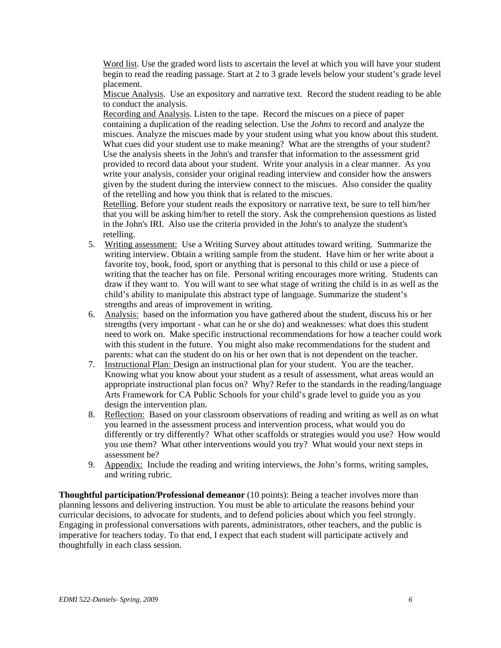Word list. Use the graded word lists to ascertain the level at which you will have your student begin to read the reading passage. Start at 2 to 3 grade levels below your student's grade level placement.

Miscue Analysis. Use an expository and narrative text. Record the student reading to be able to conduct the analysis.

Recording and Analysis. Listen to the tape. Record the miscues on a piece of paper containing a duplication of the reading selection. Use the *Johns* to record and analyze the miscues. Analyze the miscues made by your student using what you know about this student. What cues did your student use to make meaning? What are the strengths of your student? Use the analysis sheets in the John's and transfer that information to the assessment grid provided to record data about your student. Write your analysis in a clear manner. As you write your analysis, consider your original reading interview and consider how the answers given by the student during the interview connect to the miscues. Also consider the quality of the retelling and how you think that is related to the miscues.

Retelling. Before your student reads the expository or narrative text, be sure to tell him/her that you will be asking him/her to retell the story. Ask the comprehension questions as listed in the John's IRI. Also use the criteria provided in the John's to analyze the student's retelling.

- 5. Writing assessment: Use a Writing Survey about attitudes toward writing. Summarize the writing interview. Obtain a writing sample from the student. Have him or her write about a favorite toy, book, food, sport or anything that is personal to this child or use a piece of writing that the teacher has on file. Personal writing encourages more writing. Students can draw if they want to. You will want to see what stage of writing the child is in as well as the child's ability to manipulate this abstract type of language. Summarize the student's strengths and areas of improvement in writing.
- 6. Analysis: based on the information you have gathered about the student, discuss his or her strengths (very important - what can he or she do) and weaknesses: what does this student need to work on. Make specific instructional recommendations for how a teacher could work with this student in the future. You might also make recommendations for the student and parents: what can the student do on his or her own that is not dependent on the teacher.
- 7. Instructional Plan: Design an instructional plan for your student. You are the teacher. Knowing what you know about your student as a result of assessment, what areas would an appropriate instructional plan focus on? Why? Refer to the standards in the reading/language Arts Framework for CA Public Schools for your child's grade level to guide you as you design the intervention plan.
- 8. Reflection: Based on your classroom observations of reading and writing as well as on what you learned in the assessment process and intervention process, what would you do differently or try differently? What other scaffolds or strategies would you use? How would you use them? What other interventions would you try? What would your next steps in assessment be?
- 9. Appendix: Include the reading and writing interviews, the John's forms, writing samples, and writing rubric.

**Thoughtful participation/Professional demeanor** (10 points): Being a teacher involves more than planning lessons and delivering instruction. You must be able to articulate the reasons behind your curricular decisions, to advocate for students, and to defend policies about which you feel strongly. Engaging in professional conversations with parents, administrators, other teachers, and the public is imperative for teachers today. To that end, I expect that each student will participate actively and thoughtfully in each class session.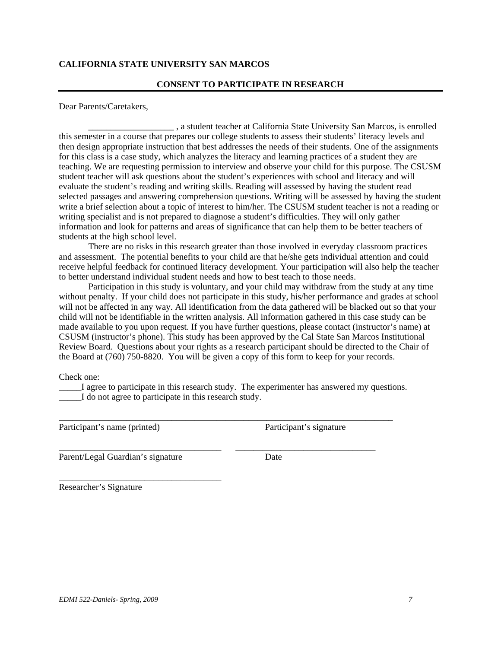# **CALIFORNIA STATE UNIVERSITY SAN MARCOS**

## **CONSENT TO PARTICIPATE IN RESEARCH**

Dear Parents/Caretakers,

\_\_\_\_\_\_\_\_\_\_\_\_\_\_\_\_\_\_\_ , a student teacher at California State University San Marcos, is enrolled this semester in a course that prepares our college students to assess their students' literacy levels and then design appropriate instruction that best addresses the needs of their students. One of the assignments for this class is a case study, which analyzes the literacy and learning practices of a student they are teaching. We are requesting permission to interview and observe your child for this purpose. The CSUSM student teacher will ask questions about the student's experiences with school and literacy and will evaluate the student's reading and writing skills. Reading will assessed by having the student read selected passages and answering comprehension questions. Writing will be assessed by having the student write a brief selection about a topic of interest to him/her. The CSUSM student teacher is not a reading or writing specialist and is not prepared to diagnose a student's difficulties. They will only gather information and look for patterns and areas of significance that can help them to be better teachers of students at the high school level.

There are no risks in this research greater than those involved in everyday classroom practices and assessment. The potential benefits to your child are that he/she gets individual attention and could receive helpful feedback for continued literacy development. Your participation will also help the teacher to better understand individual student needs and how to best teach to those needs.

Participation in this study is voluntary, and your child may withdraw from the study at any time without penalty. If your child does not participate in this study, his/her performance and grades at school will not be affected in any way. All identification from the data gathered will be blacked out so that your child will not be identifiable in the written analysis. All information gathered in this case study can be made available to you upon request. If you have further questions, please contact (instructor's name) at CSUSM (instructor's phone). This study has been approved by the Cal State San Marcos Institutional Review Board. Questions about your rights as a research participant should be directed to the Chair of the Board at (760) 750-8820. You will be given a copy of this form to keep for your records.

Check one:

\_\_\_\_\_I agree to participate in this research study. The experimenter has answered my questions. I do not agree to participate in this research study.

\_\_\_\_\_\_\_\_\_\_\_\_\_\_\_\_\_\_\_\_\_\_\_\_\_\_\_\_\_\_\_\_\_\_\_\_\_\_\_\_\_\_\_\_\_\_\_\_\_\_\_\_\_\_\_\_\_\_\_\_\_\_\_\_\_\_\_\_\_\_\_\_\_\_

\_\_\_\_\_\_\_\_\_\_\_\_\_\_\_\_\_\_\_\_\_\_\_\_\_\_\_\_\_\_\_\_\_\_\_\_ \_\_\_\_\_\_\_\_\_\_\_\_\_\_\_\_\_\_\_\_\_\_\_\_\_\_\_\_\_\_\_

Participant's name (printed) Participant's signature

Parent/Legal Guardian's signature Date

\_\_\_\_\_\_\_\_\_\_\_\_\_\_\_\_\_\_\_\_\_\_\_\_\_\_\_\_\_\_\_\_\_\_\_\_

Researcher's Signature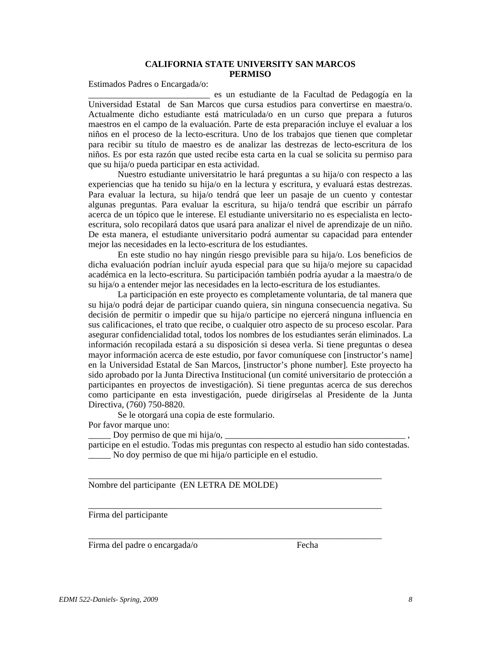# **CALIFORNIA STATE UNIVERSITY SAN MARCOS PERMISO**

Estimados Padres o Encargada/o:

\_\_\_\_\_\_\_\_\_\_\_\_\_\_\_\_\_\_\_\_\_\_\_\_\_\_\_ es un estudiante de la Facultad de Pedagogía en la Universidad Estatal de San Marcos que cursa estudios para convertirse en maestra/o. Actualmente dicho estudiante está matriculada/o en un curso que prepara a futuros maestros en el campo de la evaluación. Parte de esta preparación incluye el evaluar a los niños en el proceso de la lecto-escritura. Uno de los trabajos que tienen que completar para recibir su título de maestro es de analizar las destrezas de lecto-escritura de los niños. Es por esta razón que usted recibe esta carta en la cual se solicita su permiso para que su hija/o pueda participar en esta actividad.

Nuestro estudiante universitatrio le hará preguntas a su hija/o con respecto a las experiencias que ha tenido su hija/o en la lectura y escritura, y evaluará estas destrezas. Para evaluar la lectura, su hija/o tendrá que leer un pasaje de un cuento y contestar algunas preguntas. Para evaluar la escritura, su hija/o tendrá que escribir un párrafo acerca de un tópico que le interese. El estudiante universitario no es especialista en lectoescritura, solo recopilará datos que usará para analizar el nivel de aprendizaje de un niño. De esta manera, el estudiante universitario podrá aumentar su capacidad para entender mejor las necesidades en la lecto-escritura de los estudiantes.

En este studio no hay ningún riesgo previsible para su hija/o. Los beneficios de dicha evaluación podrían incluír ayuda especial para que su hija/o mejore su capacidad académica en la lecto-escritura. Su participación también podría ayudar a la maestra/o de su hija/o a entender mejor las necesidades en la lecto-escritura de los estudiantes.

La participación en este proyecto es completamente voluntaria, de tal manera que su hija/o podrá dejar de participar cuando quiera, sin ninguna consecuencia negativa. Su decisión de permitir o impedir que su hija/o participe no ejercerá ninguna influencia en sus calificaciones, el trato que recibe, o cualquier otro aspecto de su proceso escolar. Para asegurar confidencialidad total, todos los nombres de los estudiantes serán eliminados. La información recopilada estará a su disposición si desea verla. Si tiene preguntas o desea mayor información acerca de este estudio, por favor comuníquese con [instructor's name] en la Universidad Estatal de San Marcos, [instructor's phone number]. Este proyecto ha sido aprobado por la Junta Directiva Institucional (un comité universitario de protección a participantes en proyectos de investigación). Si tiene preguntas acerca de sus derechos como participante en esta investigación, puede dirigírselas al Presidente de la Junta Directiva, (760) 750-8820.

Se le otorgará una copia de este formulario.

Por favor marque uno:

Doy permiso de que mi hija/o,  $\Box$ 

participe en el estudio. Todas mis preguntas con respecto al estudio han sido contestadas. \_\_\_\_\_ No doy permiso de que mi hija/o participle en el estudio.

\_\_\_\_\_\_\_\_\_\_\_\_\_\_\_\_\_\_\_\_\_\_\_\_\_\_\_\_\_\_\_\_\_\_\_\_\_\_\_\_\_\_\_\_\_\_\_\_\_\_\_\_\_\_\_\_\_\_\_\_\_\_\_\_\_

\_\_\_\_\_\_\_\_\_\_\_\_\_\_\_\_\_\_\_\_\_\_\_\_\_\_\_\_\_\_\_\_\_\_\_\_\_\_\_\_\_\_\_\_\_\_\_\_\_\_\_\_\_\_\_\_\_\_\_\_\_\_\_\_\_

\_\_\_\_\_\_\_\_\_\_\_\_\_\_\_\_\_\_\_\_\_\_\_\_\_\_\_\_\_\_\_\_\_\_\_\_\_\_\_\_\_\_\_\_\_\_\_\_\_\_\_\_\_\_\_\_\_\_\_\_\_\_\_\_\_

Nombre del participante (EN LETRA DE MOLDE)

Firma del participante

Firma del padre o encargada/o Fecha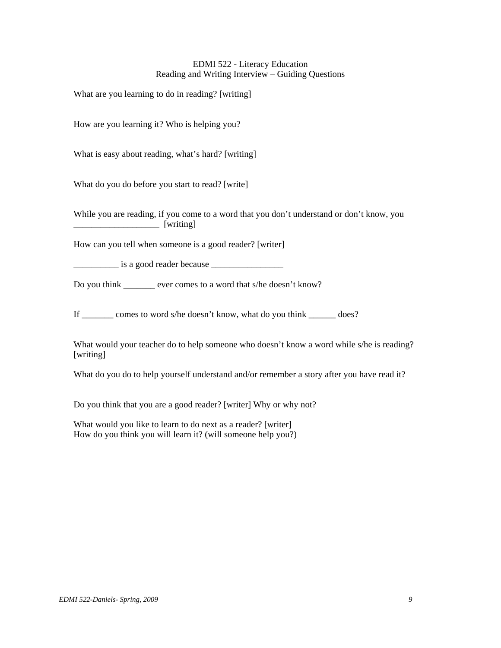## EDMI 522 - Literacy Education Reading and Writing Interview – Guiding Questions

What are you learning to do in reading? [writing]

How are you learning it? Who is helping you?

What is easy about reading, what's hard? [writing]

What do you do before you start to read? [write]

While you are reading, if you come to a word that you don't understand or don't know, you \_\_\_\_\_\_\_\_\_\_\_\_\_\_\_\_\_\_\_ [writing]

How can you tell when someone is a good reader? [writer]

\_\_\_\_\_\_\_\_\_\_ is a good reader because \_\_\_\_\_\_\_\_\_\_\_\_\_\_\_\_

Do you think ever comes to a word that s/he doesn't know?

If \_\_\_\_\_\_\_ comes to word s/he doesn't know, what do you think \_\_\_\_\_\_ does?

What would your teacher do to help someone who doesn't know a word while s/he is reading? [writing]

What do you do to help yourself understand and/or remember a story after you have read it?

Do you think that you are a good reader? [writer] Why or why not?

What would you like to learn to do next as a reader? [writer] How do you think you will learn it? (will someone help you?)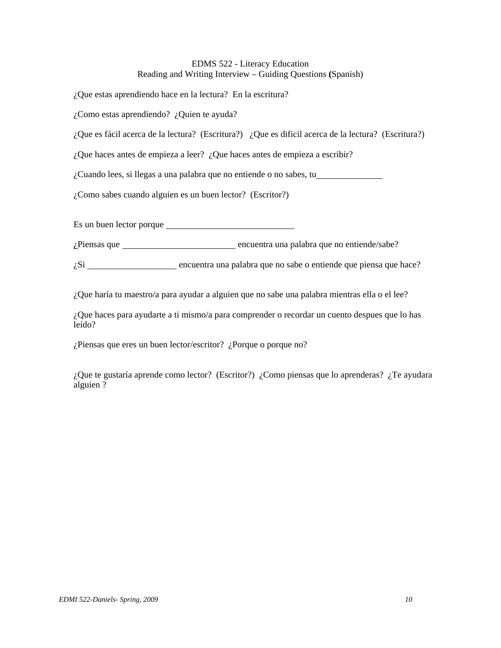# EDMS 522 - Literacy Education Reading and Writing Interview – Guiding Questions **(**Spanish)

¿Que estas aprendiendo hace en la lectura? En la escritura?

¿Como estas aprendiendo? ¿Quien te ayuda?

¿Que es fácil acerca de la lectura? (Escritura?) ¿Que es dificil acerca de la lectura? (Escritura?)

¿Que haces antes de empieza a leer? ¿Que haces antes de empieza a escribir?

¿Cuando lees, si llegas a una palabra que no entiende o no sabes, tu

¿Como sabes cuando alguien es un buen lector? (Escritor?)

Es un buen lector porque

¿Piensas que encuentra una palabra que no entiende/sabe?

 $\zeta$ Si  $\frac{1}{\zeta}$  encuentra una palabra que no sabe o entiende que piensa que hace?

¿Que haría tu maestro/a para ayudar a alguien que no sabe una palabra mientras ella o el lee?

¿Que haces para ayudarte a ti mismo/a para comprender o recordar un cuento despues que lo has leído?

¿Piensas que eres un buen lector/escritor? ¿Porque o porque no?

¿Que te gustaría aprende como lector? (Escritor?) ¿Como piensas que lo aprenderas? ¿Te ayudara alguien ?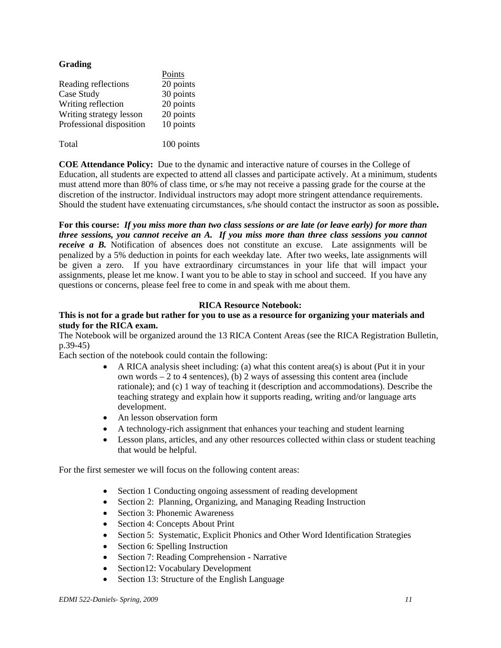# **Grading**

|                          | Points     |
|--------------------------|------------|
| Reading reflections      | 20 points  |
| Case Study               | 30 points  |
| Writing reflection       | 20 points  |
| Writing strategy lesson  | 20 points  |
| Professional disposition | 10 points  |
|                          |            |
| Total                    | 100 points |

**COE Attendance Policy:** Due to the dynamic and interactive nature of courses in the College of Education, all students are expected to attend all classes and participate actively. At a minimum, students must attend more than 80% of class time, or s/he may not receive a passing grade for the course at the discretion of the instructor. Individual instructors may adopt more stringent attendance requirements. Should the student have extenuating circumstances, s/he should contact the instructor as soon as possible**.** 

 **For this course:** *If you miss more than two class sessions or are late (or leave early) for more than three sessions, you cannot receive an A. If you miss more than three class sessions you cannot receive a B.* Notification of absences does not constitute an excuse. Late assignments will be penalized by a 5% deduction in points for each weekday late. After two weeks, late assignments will be given a zero. If you have extraordinary circumstances in your life that will impact your assignments, please let me know. I want you to be able to stay in school and succeed. If you have any questions or concerns, please feel free to come in and speak with me about them.

## **RICA Resource Notebook:**

# **This is not for a grade but rather for you to use as a resource for organizing your materials and study for the RICA exam.**

The Notebook will be organized around the 13 RICA Content Areas (see the RICA Registration Bulletin, p.39-45)

Each section of the notebook could contain the following:

- A RICA analysis sheet including: (a) what this content area(s) is about (Put it in your own words – 2 to 4 sentences), (b) 2 ways of assessing this content area (include rationale); and (c) 1 way of teaching it (description and accommodations). Describe the teaching strategy and explain how it supports reading, writing and/or language arts development.
- An lesson observation form
- A technology-rich assignment that enhances your teaching and student learning
- Lesson plans, articles, and any other resources collected within class or student teaching that would be helpful.

For the first semester we will focus on the following content areas:

- Section 1 Conducting ongoing assessment of reading development
- Section 2: Planning, Organizing, and Managing Reading Instruction
- Section 3: Phonemic Awareness
- Section 4: Concepts About Print
- Section 5: Systematic, Explicit Phonics and Other Word Identification Strategies
- Section 6: Spelling Instruction
- Section 7: Reading Comprehension Narrative
- Section12: Vocabulary Development
- Section 13: Structure of the English Language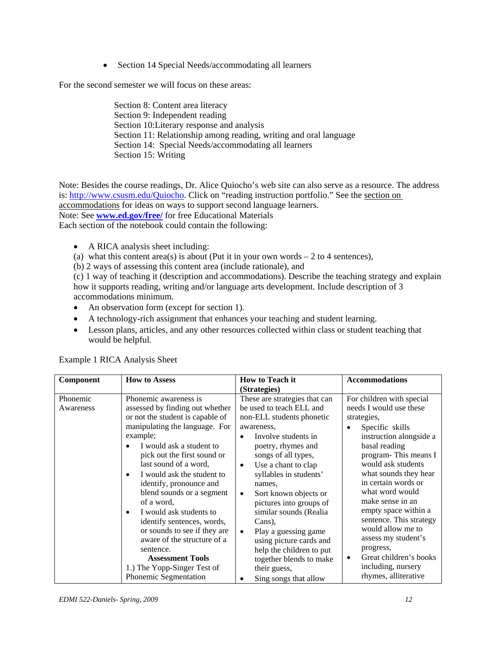• Section 14 Special Needs/accommodating all learners

For the second semester we will focus on these areas:

Section 8: Content area literacy Section 9: Independent reading Section 10:Literary response and analysis Section 11: Relationship among reading, writing and oral language Section 14: Special Needs/accommodating all learners Section 15: Writing

Note: Besides the course readings, Dr. Alice Quiocho's web site can also serve as a resource. The address is: http://www.csusm.edu/Quiocho. Click on "reading instruction portfolio." See the section on accommodations for ideas on ways to support second language learners. Note: See **www.ed.gov/free/** for free Educational Materials Each section of the notebook could contain the following:

- A RICA analysis sheet including:
- (a) what this content area(s) is about (Put it in your own words  $-2$  to 4 sentences),
- (b) 2 ways of assessing this content area (include rationale), and

 accommodations minimum. (c) 1 way of teaching it (description and accommodations). Describe the teaching strategy and explain how it supports reading, writing and/or language arts development. Include description of 3

- An observation form (except for section 1).
- A technology-rich assignment that enhances your teaching and student learning.
- Lesson plans, articles, and any other resources collected within class or student teaching that would be helpful.

| Component             | <b>How to Assess</b>                                                                                                                                                                                                                                                                                                                                                                                                                                                                                                              | <b>How to Teach it</b>                                                                                                                                                                                                                                                                                                                                                                                                                                                               | <b>Accommodations</b>                                                                                                                                                                                                                                                                                                                                                                                                               |
|-----------------------|-----------------------------------------------------------------------------------------------------------------------------------------------------------------------------------------------------------------------------------------------------------------------------------------------------------------------------------------------------------------------------------------------------------------------------------------------------------------------------------------------------------------------------------|--------------------------------------------------------------------------------------------------------------------------------------------------------------------------------------------------------------------------------------------------------------------------------------------------------------------------------------------------------------------------------------------------------------------------------------------------------------------------------------|-------------------------------------------------------------------------------------------------------------------------------------------------------------------------------------------------------------------------------------------------------------------------------------------------------------------------------------------------------------------------------------------------------------------------------------|
|                       |                                                                                                                                                                                                                                                                                                                                                                                                                                                                                                                                   | (Strategies)                                                                                                                                                                                                                                                                                                                                                                                                                                                                         |                                                                                                                                                                                                                                                                                                                                                                                                                                     |
| Phonemic<br>Awareness | Phonemic awareness is<br>assessed by finding out whether<br>or not the student is capable of<br>manipulating the language. For<br>example;<br>I would ask a student to<br>pick out the first sound or<br>last sound of a word,<br>I would ask the student to<br>identify, pronounce and<br>blend sounds or a segment<br>of a word,<br>I would ask students to<br>identify sentences, words,<br>or sounds to see if they are<br>aware of the structure of a<br>sentence.<br><b>Assessment Tools</b><br>1.) The Yopp-Singer Test of | These are strategies that can<br>be used to teach ELL and<br>non-ELL students phonetic<br>awareness,<br>Involve students in<br>poetry, rhymes and<br>songs of all types,<br>Use a chant to clap<br>$\bullet$<br>syllables in students'<br>names,<br>Sort known objects or<br>٠<br>pictures into groups of<br>similar sounds (Realia<br>Cans).<br>Play a guessing game<br>$\bullet$<br>using picture cards and<br>help the children to put<br>together blends to make<br>their guess, | For children with special<br>needs I would use these<br>strategies,<br>Specific skills<br>instruction alongside a<br>basal reading<br>program-This means I<br>would ask students<br>what sounds they hear<br>in certain words or<br>what word would<br>make sense in an<br>empty space within a<br>sentence. This strategy<br>would allow me to<br>assess my student's<br>progress,<br>Great children's books<br>including, nursery |
|                       | Phonemic Segmentation                                                                                                                                                                                                                                                                                                                                                                                                                                                                                                             | Sing songs that allow<br>٠                                                                                                                                                                                                                                                                                                                                                                                                                                                           | rhymes, alliterative                                                                                                                                                                                                                                                                                                                                                                                                                |

Example 1 RICA Analysis Sheet